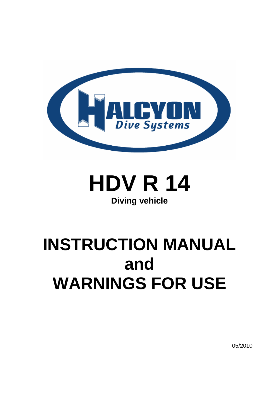

# **HDV R 14 Diving vehicle**

# **INSTRUCTION MANUAL and WARNINGS FOR USE**

05/2010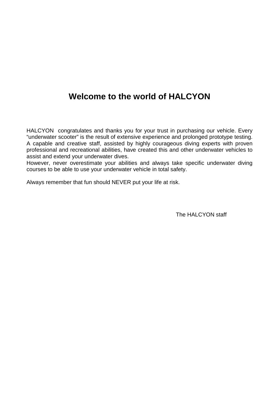# **Welcome to the world of HALCYON**

HALCYON congratulates and thanks you for your trust in purchasing our vehicle. Every "underwater scooter" is the result of extensive experience and prolonged prototype testing. A capable and creative staff, assisted by highly courageous diving experts with proven professional and recreational abilities, have created this and other underwater vehicles to assist and extend your underwater dives.

However, never overestimate your abilities and always take specific underwater diving courses to be able to use your underwater vehicle in total safety.

Always remember that fun should NEVER put your life at risk.

The HAI CYON staff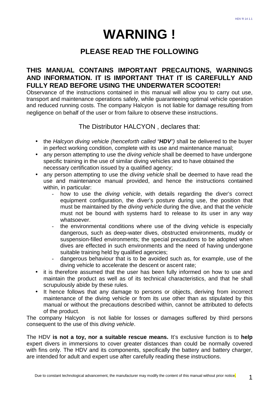# **WARNING !**

### **PI EASE READ THE FOLLOWING**

### **THIS MANUAL CONTAINS IMPORTANT PRECAUTIONS, WARNINGS AND INFORMATION. IT IS IMPORTANT THAT IT IS CAREFULLY AND FULLY READ BEFORE USING THE UNDERWATER SCOOTER!**

Observance of the instructions contained in this manual will allow you to carry out use, transport and maintenance operations safely, while guaranteeing optimal vehicle operation and reduced running costs. The company Halcyon is not liable for damage resulting from negligence on behalf of the user or from failure to observe these instructions.

The Distributor HALCYON , declares that:

- the Halcyon diving vehicle (henceforth called "**HDV**") shall be delivered to the buyer in perfect working condition, complete with its use and maintenance manual;
- any person attempting to use the *diving vehicle* shall be deemed to have undergone specific training in the use of similar diving vehicles and to have obtained the necessary certification issued by a qualified agency;
- any person attempting to use the *diving vehicle* shall be deemed to have read the use and maintenance manual provided, and hence the instructions contained within, in particular:
	- how to use the *diving vehicle*, with details regarding the diver's correct equipment configuration, the diver's posture during use, the position that must be maintained by the *diving vehicle* during the dive, and that the vehicle must not be bound with systems hard to release to its user in any way whatsoever.
	- the environmental conditions where use of the diving vehicle is especially dangerous, such as deep-water dives, obstructed environments, muddy or suspension-filled environments; the special precautions to be adopted when dives are effected in such environments and the need of having undergone suitable training held by qualified agencies;
	- dangerous behaviour that is to be avoided such as, for example, use of the diving vehicle to accelerate the descent or ascent rate;
- it is therefore assumed that the user has been fully informed on how to use and maintain the product as well as of its technical characteristics, and that he shall scrupulously abide by these rules.
- It hence follows that any damage to persons or objects, deriving from incorrect maintenance of the diving vehicle or from its use other than as stipulated by this manual or without the precautions described within, cannot be attributed to defects of the product.

The company Halcyon is not liable for losses or damages suffered by third persons consequent to the use of this diving vehicle.

The HDV **is not a toy, nor a suitable rescue means.** It's exclusive function is to **help** expert divers in immersions to cover greater distances than could be normally covered with fins only. The HDV and its components, specifically the battery and battery charger, are intended for adult and expert use after carefully reading these instructions.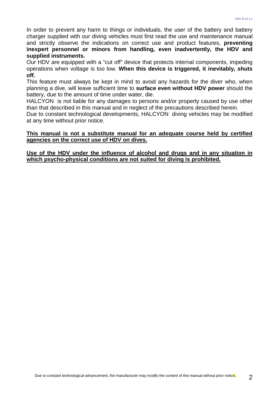In order to prevent any harm to things or individuals, the user of the battery and battery charger supplied with our diving vehicles must first read the use and maintenance manual and strictly observe the indications on correct use and product features, **preventing inexpert personnel or minors from handling, even inadvertently, the HDV and supplied instruments.**

Our HDV are equipped with a "cut off" device that protects internal components, impeding operations when voltage is too low. **When this device is triggered, it inevitably, shuts off.**

This feature must always be kept in mind to avoid any hazards for the diver who, when planning a dive, will leave sufficient time to **surface even without HDV power** should the battery, due to the amount of time under water, die.

HALCYON is not liable for any damages to persons and/or property caused by use other than that described in this manual and in neglect of the precautions described herein.

Due to constant technological developments, HALCYON diving vehicles may be modified at any time without prior notice.

#### **This manual is not a substitute manual for an adequate course held by certified agencies on the correct use of HDV on dives.**

**Use of the HDV under the influence of alcohol and drugs and in any situation in which psycho-physical conditions are not suited for diving is prohibited.**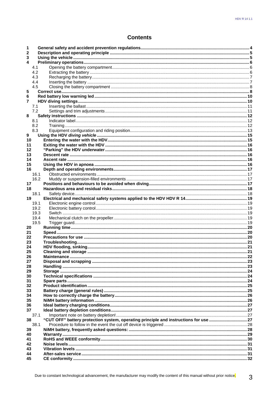### **Contents**

| 1      |            |                                                                                      |  |  |  |
|--------|------------|--------------------------------------------------------------------------------------|--|--|--|
| 2<br>3 |            |                                                                                      |  |  |  |
| 4      |            |                                                                                      |  |  |  |
|        | 4.1        |                                                                                      |  |  |  |
|        | 4.2        |                                                                                      |  |  |  |
|        | 4.3        |                                                                                      |  |  |  |
|        | 4.4        |                                                                                      |  |  |  |
|        |            |                                                                                      |  |  |  |
| 5      |            | 4.5                                                                                  |  |  |  |
| 6      |            |                                                                                      |  |  |  |
| 7      |            |                                                                                      |  |  |  |
|        |            |                                                                                      |  |  |  |
|        | 7.1<br>7.2 |                                                                                      |  |  |  |
| 8      |            |                                                                                      |  |  |  |
|        | 8.1        |                                                                                      |  |  |  |
|        | 8.2        |                                                                                      |  |  |  |
|        | 8.3        |                                                                                      |  |  |  |
| 9      |            |                                                                                      |  |  |  |
| 10     |            |                                                                                      |  |  |  |
| 11     |            |                                                                                      |  |  |  |
| 12     |            |                                                                                      |  |  |  |
| 13     |            |                                                                                      |  |  |  |
| 14     |            |                                                                                      |  |  |  |
| 15     |            |                                                                                      |  |  |  |
| 16     |            |                                                                                      |  |  |  |
|        | 16.1       |                                                                                      |  |  |  |
|        | 16.2       |                                                                                      |  |  |  |
| 17     |            |                                                                                      |  |  |  |
| 18     |            |                                                                                      |  |  |  |
|        | 18.1       |                                                                                      |  |  |  |
| 19     |            |                                                                                      |  |  |  |
|        | 19.1       |                                                                                      |  |  |  |
|        | 19.2       |                                                                                      |  |  |  |
|        | 19.3       |                                                                                      |  |  |  |
|        | 19.4       |                                                                                      |  |  |  |
|        | 19.5       |                                                                                      |  |  |  |
| 20     |            |                                                                                      |  |  |  |
| 21     |            |                                                                                      |  |  |  |
| 22     |            |                                                                                      |  |  |  |
| 23     |            |                                                                                      |  |  |  |
| 24     |            |                                                                                      |  |  |  |
| 25     |            |                                                                                      |  |  |  |
| 26     |            |                                                                                      |  |  |  |
| 27     |            |                                                                                      |  |  |  |
| 28     |            |                                                                                      |  |  |  |
| 29     |            |                                                                                      |  |  |  |
| 30     |            |                                                                                      |  |  |  |
| 31     |            |                                                                                      |  |  |  |
| 32     |            |                                                                                      |  |  |  |
| 33     |            |                                                                                      |  |  |  |
| 34     |            |                                                                                      |  |  |  |
| 35     |            |                                                                                      |  |  |  |
| 36     |            |                                                                                      |  |  |  |
| 37     |            |                                                                                      |  |  |  |
|        | 37.1       |                                                                                      |  |  |  |
| 38     |            | "CUT OFF" battery protection system, operating principle and instructions for use 27 |  |  |  |
|        | 38.1       |                                                                                      |  |  |  |
| 39     |            |                                                                                      |  |  |  |
| 40     |            |                                                                                      |  |  |  |
| 41     |            |                                                                                      |  |  |  |
| 42     |            |                                                                                      |  |  |  |
| 43     |            |                                                                                      |  |  |  |
| 44     |            |                                                                                      |  |  |  |
| 45     |            |                                                                                      |  |  |  |
|        |            |                                                                                      |  |  |  |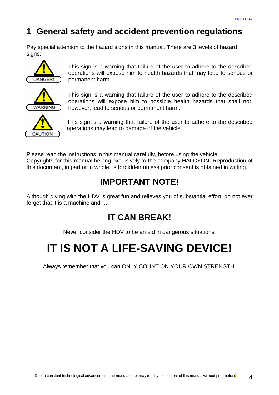# **1 General safety and accident prevention regulations**

Pay special attention to the hazard signs in this manual. There are 3 levels of hazard signs:



This sign is a warning that failure of the user to adhere to the described operations will expose him to health hazards that may lead to serious or permanent harm.



This sign is a warning that failure of the user to adhere to the described operations will expose him to possible health hazards that shall not, however, lead to serious or permanent harm.



This sign is a warning that failure of the user to adhere to the described operations may lead to damage of the vehicle.

Please read the instructions in this manual carefully, before using the vehicle. Copyrights for this manual belong exclusively to the company HALCYON Reproduction of this document, in part or in whole, is forbidden unless prior consent is obtained in writing.

# **IMPORTANT NOTE!**

Although diving with the HDV is great fun and relieves you of substantial effort, do not ever forget that it is a machine and …

# **IT CAN BREAK!**

Never consider the HDV to be an aid in dangerous situations.

# **IT IS NOT A LIFE-SAVING DEVICE!**

Always remember that you can ONLY COUNT ON YOUR OWN STRENGTH.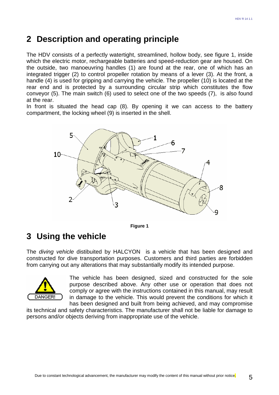### **2 Description and operating principle**

The HDV consists of a perfectly watertight, streamlined, hollow body, see figure 1, inside which the electric motor, rechargeable batteries and speed-reduction gear are housed. On the outside, two manoeuvring handles (1) are found at the rear, one of which has an integrated trigger (2) to control propeller rotation by means of a lever (3). At the front, a handle (4) is used for gripping and carrying the vehicle. The propeller (10) is located at the rear end and is protected by a surrounding circular strip which constitutes the flow conveyor (5). The main switch (6) used to select one of the two speeds (7), is also found at the rear.

In front is situated the head cap (8). By opening it we can access to the battery compartment, the locking wheel (9) is inserted in the shell.



**Figure 1** 

### **3 Using the vehicle**

The diving vehicle distibuited by HALCYON is a vehicle that has been designed and constructed for dive transportation purposes. Customers and third parties are forbidden from carrying out any alterations that may substantially modify its intended purpose.



The vehicle has been designed, sized and constructed for the sole purpose described above. Any other use or operation that does not comply or agree with the instructions contained in this manual, may result in damage to the vehicle. This would prevent the conditions for which it has been designed and built from being achieved, and may compromise

its technical and safety characteristics. The manufacturer shall not be liable for damage to persons and/or objects deriving from inappropriate use of the vehicle.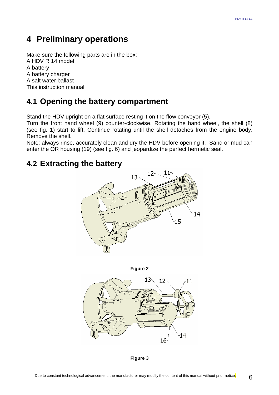### **4 Preliminary operations**

Make sure the following parts are in the box: A HDV R 14 model A battery A battery charger A salt water ballast This instruction manual

### **4.1 Opening the battery compartment**

Stand the HDV upright on a flat surface resting it on the flow conveyor (5).

Turn the front hand wheel (9) counter-clockwise. Rotating the hand wheel, the shell (8) (see fig. 1) start to lift. Continue rotating until the shell detaches from the engine body. Remove the shell.

Note: always rinse, accurately clean and dry the HDV before opening it. Sand or mud can enter the OR housing (19) (see fig. 6) and jeopardize the perfect hermetic seal.

### **4.2 Extracting the battery**





**Figure 3**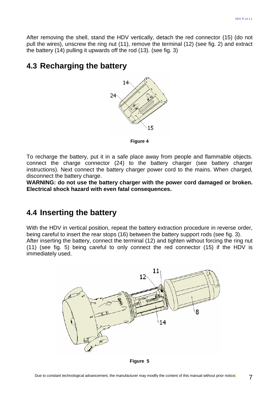After removing the shell, stand the HDV vertically, detach the red connector (15) (do not pull the wires), unscrew the ring nut (11), remove the terminal (12) (see fig. 2) and extract the battery (14) pulling it upwards off the rod (13). (see fig. 3)

### **4.3 Recharging the battery**



**Figure 4**

To recharge the battery, put it in a safe place away from people and flammable objects. connect the charge connector (24) to the battery charger (see battery charger instructions). Next connect the battery charger power cord to the mains. When charged, disconnect the battery charge.

**WARNING: do not use the battery charger with the power cord damaged or broken. Electrical shock hazard with even fatal consequences.** 

### **4.4 Inserting the battery**

With the HDV in vertical position, repeat the battery extraction procedure in reverse order, being careful to insert the rear stops (16) between the battery support rods (see fig. 3). After inserting the battery, connect the terminal (12) and tighten without forcing the ring nut (11) (see fig. 5) being careful to only connect the red connector (15) if the HDV is immediately used.



**Figure 5**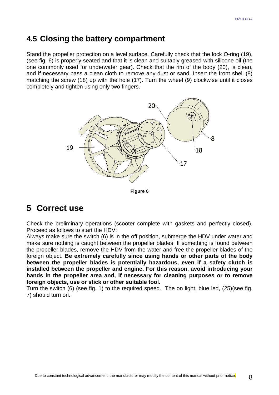### **4.5 Closing the battery compartment**

Stand the propeller protection on a level surface. Carefully check that the lock O-ring (19), (see fig. 6) is properly seated and that it is clean and suitably greased with silicone oil (the one commonly used for underwater gear). Check that the rim of the body (20), is clean, and if necessary pass a clean cloth to remove any dust or sand. Insert the front shell (8) matching the screw (18) up with the hole (17). Turn the wheel (9) clockwise until it closes completely and tighten using only two fingers.



**Figure 6**

### **5 Correct use**

Check the preliminary operations (scooter complete with gaskets and perfectly closed). Proceed as follows to start the HDV:

Always make sure the switch (6) is in the off position, submerge the HDV under water and make sure nothing is caught between the propeller blades. If something is found between the propeller blades, remove the HDV from the water and free the propeller blades of the foreign object. **Be extremely carefully since using hands or other parts of the body between the propeller blades is potentially hazardous, even if a safety clutch is installed between the propeller and engine. For this reason, avoid introducing your hands in the propeller area and, if necessary for cleaning purposes or to remove foreign objects, use or stick or other suitable tool.**

Turn the switch (6) (see fig. 1) to the required speed. The on light, blue led, (25)(see fig. 7) should turn on.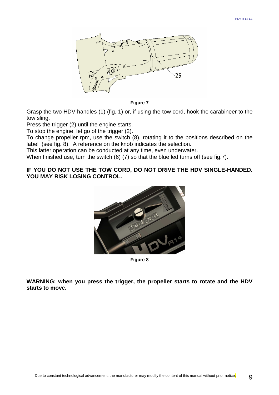

**Figure 7**

Grasp the two HDV handles (1) (fig. 1) or, if using the tow cord, hook the carabineer to the tow sling.

Press the trigger (2) until the engine starts.

To stop the engine, let go of the trigger (2).

To change propeller rpm, use the switch (8), rotating it to the positions described on the label (see fig. 8). A reference on the knob indicates the selection.

This latter operation can be conducted at any time, even underwater.

When finished use, turn the switch (6) (7) so that the blue led turns off (see fig.7).

#### **IF YOU DO NOT USE THE TOW CORD, DO NOT DRIVE THE HDV SINGLE-HANDED. YOU MAY RISK LOSING CONTROL.**



**Figure 8**

**WARNING: when you press the trigger, the propeller starts to rotate and the HDV starts to move.**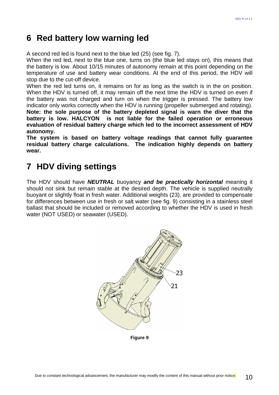### **6 Red battery low warning led**

A second red led is found next to the blue led (25) (see fig. 7).

When the red led, next to the blue one, turns on (the blue led stays on), this means that the battery is low. About 10/15 minutes of autonomy remain at this point depending on the temperature of use and battery wear conditions. At the end of this period, the HDV will stop due to the cut-off device.

When the red led turns on, it remains on for as long as the switch is in the on position. When the HDV is turned off, it may remain off the next time the HDV is turned on even if the battery was not charged and turn on when the trigger is pressed. The battery low indicator only works correctly when the HDV is running (propeller submerged and rotating). **Note: the sole purpose of the battery depleted signal is warn the diver that the battery is low. HALCYON is not liable for the failed operation or erroneous evaluation of residual battery charge which led to the incorrect assessment of HDV autonomy.**

**The system is based on battery voltage readings that cannot fully guarantee residual battery charge calculations. The indication highly depends on battery wear.** 

# **7 HDV diving settings**

The HDV should have **NEUTRAL** buoyancy **and be practically horizontal** meaning it should not sink but remain stable at the desired depth. The vehicle is supplied neutrally buoyant or slightly float in fresh water. Additional weights (23), are provided to compensate for differences between use in fresh or salt water (see fig. 9) consisting in a stainless steel ballast that should be included or removed according to whether the HDV is used in fresh water (NOT USED) or seawater (USED).



**Figure 9**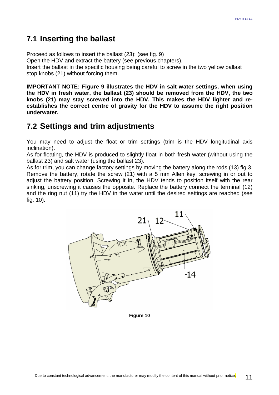### **7.1 Inserting the ballast**

Proceed as follows to insert the ballast (23): (see fig. 9) Open the HDV and extract the battery (see previous chapters). Insert the ballast in the specific housing being careful to screw in the two yellow ballast stop knobs (21) without forcing them.

**IMPORTANT NOTE: Figure 9 illustrates the HDV in salt water settings, when using the HDV in fresh water, the ballast (23) should be removed from the HDV, the two knobs (21) may stay screwed into the HDV. This makes the HDV lighter and reestablishes the correct centre of gravity for the HDV to assume the right position underwater.**

### **7.2 Settings and trim adjustments**

You may need to adjust the float or trim settings (trim is the HDV longitudinal axis inclination).

As for floating, the HDV is produced to slightly float in both fresh water (without using the ballast 23) and salt water (using the ballast 23).

As for trim, you can change factory settings by moving the battery along the rods (13) fig.3. Remove the battery, rotate the screw (21) with a 5 mm Allen key, screwing in or out to adjust the battery position. Screwing it in, the HDV tends to position itself with the rear sinking, unscrewing it causes the opposite. Replace the battery connect the terminal (12) and the ring nut (11) try the HDV in the water until the desired settings are reached (see fig. 10).



**Figure 10**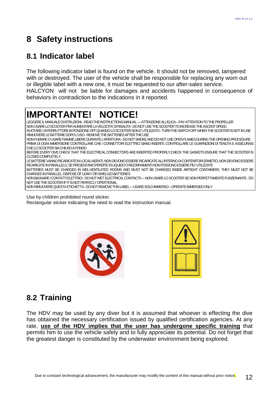# **8 Safety instructions**

### **8.1 Indicator label**

The following indicator label is found on the vehicle. It should not be removed, tampered with or destroyed. The user of the vehicle shall be responsible for replacing any worn out or illegible label with a new one, it must be requested to our after-sales service. HALCYON will not be liable for damages and accidents happened in consequence of behaviors in contradiction to the indications in it reported.



Use by children prohibited round sticker.

Rectangular sticker indicating the need to read the instruction manual.





### **8.2 Training**

The HDV may be used by any diver but it is assumed that whoever is effecting the dive has obtained the necessary certification issued by qualified certification agencies. At any rate, **use of the HDV implies that the user has undergone specific training** that permits him to use the vehicle safely and to fully appreciate its potential. Do not forget that the greatest danger is constituted by the underwater environment being explored.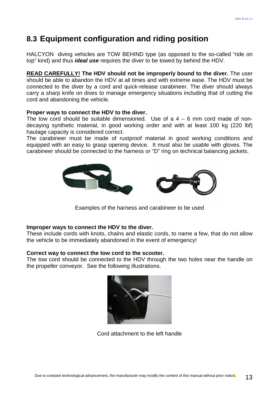### **8.3 Equipment configuration and riding position**

HALCYON diving vehicles are TOW BEHIND type (as opposed to the so-called "ride on top" kind) and thus **ideal use** requires the diver to be towed by behind the HDV.

**READ CAREFULLY! The HDV should not be improperly bound to the diver.** The user should be able to abandon the HDV at all times and with extreme ease. The HDV must be connected to the diver by a cord and quick-release carabineer. The diver should always carry a sharp knife on dives to manage emergency situations including that of cutting the cord and abandoning the vehicle.

#### **Proper ways to connect the HDV to the diver.**

The tow cord should be suitable dimensioned. Use of  $a$  4 – 6 mm cord made of nondecaying synthetic material, in good working order and with at least 100 kg (220 lbf) haulage capacity is considered correct.

The carabineer must be made of rustproof material in good working conditions and equipped with an easy to grasp opening device. It must also be usable with gloves. The carabineer should be connected to the harness or "D" ring on technical balancing jackets.



Examples of the harness and carabineer to be used

#### **Improper ways to connect the HDV to the diver.**

These include cords with knots, chains and elastic cords, to name a few, that do not allow the vehicle to be immediately abandoned in the event of emergency!

#### **Correct way to connect the tow cord to the scooter.**

The tow cord should be connected to the HDV through the two holes near the handle on the propeller conveyor. See the following illustrations.



Cord attachment to the left handle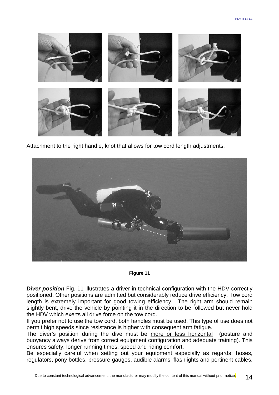

Attachment to the right handle, knot that allows for tow cord length adjustments.



#### **Figure 11**

**Diver position** Fig. 11 illustrates a driver in technical configuration with the HDV correctly positioned. Other positions are admitted but considerably reduce drive efficiency. Tow cord length is extremely important for good towing efficiency. The right arm should remain slightly bent, drive the vehicle by pointing it in the direction to be followed but never hold the HDV which exerts all drive force on the tow cord.

If you prefer not to use the tow cord, both handles must be used. This type of use does not permit high speeds since resistance is higher with consequent arm fatigue.

The diver's position during the dive must be more or less horizontal (posture and buoyancy always derive from correct equipment configuration and adequate training). This ensures safety, longer running times, speed and riding comfort.

Be especially careful when setting out your equipment especially as regards: hoses, regulators, pony bottles, pressure gauges, audible alarms, flashlights and pertinent cables,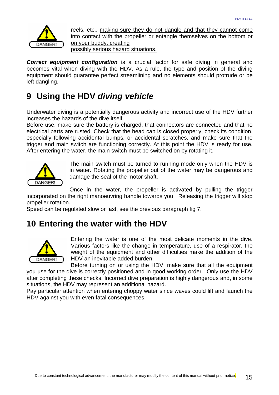

reels, etc., making sure they do not dangle and that they cannot come into contact with the propeller or entangle themselves on the bottom or on your buddy, creating possibly serious hazard situations.

**Correct equipment configuration** is a crucial factor for safe diving in general and becomes vital when diving with the HDV. As a rule, the type and position of the diving equipment should guarantee perfect streamlining and no elements should protrude or be left dangling.

# **9 Using the HDV diving vehicle**

Underwater diving is a potentially dangerous activity and incorrect use of the HDV further increases the hazards of the dive itself.

Before use, make sure the battery is charged, that connectors are connected and that no electrical parts are rusted. Check that the head cap is closed properly, check its condition, especially following accidental bumps, or accidental scratches, and make sure that the trigger and main switch are functioning correctly. At this point the HDV is ready for use. After entering the water, the main switch must be switched on by rotating it.



The main switch must be turned to running mode only when the HDV is in water. Rotating the propeller out of the water may be dangerous and damage the seal of the motor shaft.

Once in the water, the propeller is activated by pulling the trigger incorporated on the right manoeuvring handle towards you. Releasing the trigger will stop propeller rotation.

Speed can be regulated slow or fast, see the previous paragraph fig 7.

### **10 Entering the water with the HDV**



Entering the water is one of the most delicate moments in the dive. Various factors like the change in temperature, use of a respirator, the weight of the equipment and other difficulties make the addition of the HDV an inevitable added burden.

Before turning on or using the HDV, make sure that all the equipment you use for the dive is correctly positioned and in good working order. Only use the HDV after completing these checks. Incorrect dive preparation is highly dangerous and, in some situations, the HDV may represent an additional hazard.

Pay particular attention when entering choppy water since waves could lift and launch the HDV against you with even fatal consequences.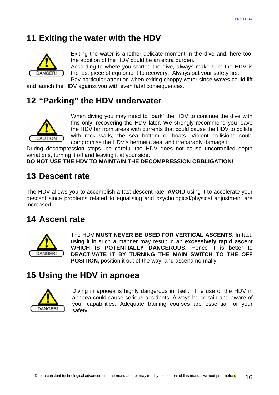### **11 Exiting the water with the HDV**



Exiting the water is another delicate moment in the dive and, here too, the addition of the HDV could be an extra burden.

According to where you started the dive, always make sure the HDV is the last piece of equipment to recovery. Always put your safety first.

Pay particular attention when exiting choppy water since waves could lift and launch the HDV against you with even fatal consequences.

### **12 "Parking" the HDV underwater**



When diving you may need to "park" the HDV to continue the dive with fins only, recovering the HDV later. We strongly recommend you leave the HDV far from areas with currents that could cause the HDV to collide with rock walls, the sea bottom or boats. Violent collisions could compromise the HDV's hermetic seal and irreparably damage it.

During decompression stops, be careful the HDV does not cause uncontrolled depth variations, turning it off and leaving it at your side.

**DO NOT USE THE HDV TO MAINTAIN THE DECOMPRESSION OBBLIGATION!** 

### **13 Descent rate**

The HDV allows you to accomplish a fast descent rate. **AVOID** using it to accelerate your descent since problems related to equalising and psychological/physical adjustment are increased.

### **14 Ascent rate**



The HDV **MUST NEVER BE USED FOR VERTICAL ASCENTS.** In fact, using it in such a manner may result in an **excessively rapid ascent WHICH IS POTENTIALLY DANGEROUS.** Hence it is better to **DEACTIVATE IT BY TURNING THE MAIN SWITCH TO THE OFF POSITION,** position it out of the way**,** and ascend normally.

### **15 Using the HDV in apnoea**



Diving in apnoea is highly dangerous in itself. The use of the HDV in apnoea could cause serious accidents. Always be certain and aware of your capabilities. Adequate training courses are essential for your safety.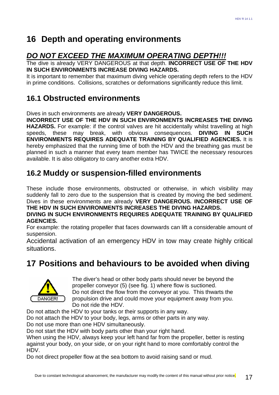# **16 Depth and operating environments**

### **DO NOT EXCEED THE MAXIMUM OPERATING DEPTH!!!**

The dive is already VERY DANGEROUS at that depth. **INCORRECT USE OF THE HDV IN SUCH ENVIRONMENTS INCREASE DIVING HAZARDS.** 

It is important to remember that maximum diving vehicle operating depth refers to the HDV in prime conditions. Collisions, scratches or deformations significantly reduce this limit.

### **16.1 Obstructed environments**

Dives in such environments are already **VERY DANGEROUS.**

**INCORRECT USE OF THE HDV IN SUCH ENVIRONMENTS INCREASES THE DIVING HAZARDS.** For example: if the control valves are hit accidentally whilst travelling at high speeds, these may break, with obvious consequences. **DIVING IN SUCH ENVIRONMENTS REQUIRES ADEQUATE TRAINING BY QUALIFIED AGENCIES.** It is hereby emphasized that the running time of both the HDV and the breathing gas must be planned in such a manner that every team member has TWICE the necessary resources available. It is also obligatory to carry another extra HDV.

### **16.2 Muddy or suspension-filled environments**

These include those environments, obstructed or otherwise, in which visibility may suddenly fall to zero due to the suspension that is created by moving the bed sediment. Dives in these environments are already **VERY DANGEROUS. INCORRECT USE OF THE HDV IN SUCH ENVIRONMENTS INCREASES THE DIVING HAZARDS.**

### **DIVING IN SUCH ENVIRONMENTS REQUIRES ADEQUATE TRAINING BY QUALIFIED AGENCIES.**

For example: the rotating propeller that faces downwards can lift a considerable amount of suspension.

Accidental activation of an emergency HDV in tow may create highly critical situations.

# **17 Positions and behaviours to be avoided when diving**



The diver's head or other body parts should never be beyond the propeller conveyor (5) (see fig. 1) where flow is suctioned. Do not direct the flow from the conveyor at you. This thwarts the propulsion drive and could move your equipment away from you. Do not ride the HDV.

Do not attach the HDV to your tanks or their supports in any way.

Do not attach the HDV to your body, legs, arms or other parts in any way.

Do not use more than one HDV simultaneously.

Do not start the HDV with body parts other than your right hand.

When using the HDV, always keep your left hand far from the propeller, better is resting against your body, on your side, or on your right hand to more comfortably control the HDV.

Do not direct propeller flow at the sea bottom to avoid raising sand or mud.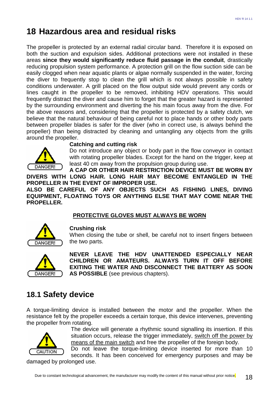# **18 Hazardous area and residual risks**

The propeller is protected by an external radial circular band. Therefore it is exposed on both the suction and expulsion sides. Additional protections were not installed in these areas **since they would significantly reduce fluid passage in the conduit**, drastically reducing propulsion system performance. A protection grill on the flow suction side can be easily clogged when near aquatic plants or algae normally suspended in the water, forcing the diver to frequently stop to clean the grill which is not always possible in safety conditions underwater. A grill placed on the flow output side would prevent any cords or lines caught in the propeller to be removed, inhibiting HDV operations. This would frequently distract the diver and cause him to forget that the greater hazard is represented by the surrounding environment and diverting the his main focus away from the dive. For the above reasons and, considering that the propeller is protected by a safety clutch, we believe that the natural behaviour of being careful not to place hands or other body parts between propeller blades is safer for the diver (who in correct use, is always behind the propeller) than being distracted by cleaning and untangling any objects from the grills around the propeller.



#### **Catching and cutting risk**

Do not introduce any object or body part in the flow conveyor in contact with rotating propeller blades. Except for the hand on the trigger, keep at least 40 cm away from the propulsion group during use.

**A CAP OR OTHER HAIR RESTRICTION DEVICE MUST BE WORN BY DIVERS WITH LONG HAIR. LONG HAIR MAY BECOME ENTANGLED IN THE PROPELLER IN THE EVENT OF IMPROPER USE.**

**ALSO BE CAREFUL OF ANY OBJECTS SUCH AS FISHING LINES, DIVING EQUIPMENT, FLOATING TOYS OR ANYTHING ELSE THAT MAY COME NEAR THE PROPELLER.** 

### **PROTECTIVE GLOVES MUST ALWAYS BE WORN**



#### **Crushing risk**

When closing the tube or shell, be careful not to insert fingers between the two parts.



**NEVER LEAVE THE HDV UNATTENDED ESPECIALLY NEAR CHILDREN OR AMATEURS. ALWAYS TURN IT OFF BEFORE EXITING THE WATER AND DISCONNECT THE BATTERY AS SOON AS POSSIBLE** (see previous chapters).

### **18.1 Safety device**

A torque-limiting device is installed between the motor and the propeller. When the resistance felt by the propeller exceeds a certain torque, this device intervenes, preventing the propeller from rotating.



The device will generate a rhythmic sound signalling its insertion. If this situation occurs, release the trigger immediately, switch off the power by means of the main switch and free the propeller of the foreign body.

Do not leave the torque-limiting device inserted for more than 10 seconds. It has been conceived for emergency purposes and may be

damaged by prolonged use.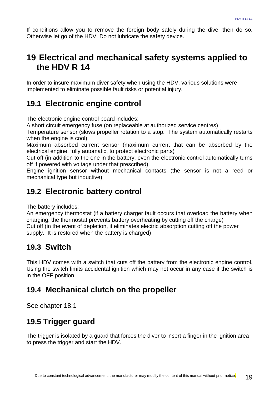If conditions allow you to remove the foreign body safely during the dive, then do so. Otherwise let go of the HDV. Do not lubricate the safety device.

### **19 Electrical and mechanical safety systems applied to the HDV R 14**

In order to insure maximum diver safety when using the HDV, various solutions were implemented to eliminate possible fault risks or potential injury.

### **19.1 Electronic engine control**

The electronic engine control board includes:

A short circuit emergency fuse (on replaceable at authorized service centres)

Temperature sensor (slows propeller rotation to a stop. The system automatically restarts when the engine is cool).

Maximum absorbed current sensor (maximum current that can be absorbed by the electrical engine, fully automatic, to protect electronic parts)

Cut off (in addition to the one in the battery, even the electronic control automatically turns off if powered with voltage under that prescribed).

Engine ignition sensor without mechanical contacts (the sensor is not a reed or mechanical type but inductive)

### **19.2 Electronic battery control**

The battery includes:

An emergency thermostat (if a battery charger fault occurs that overload the battery when charging, the thermostat prevents battery overheating by cutting off the charge) Cut off (in the event of depletion, it eliminates electric absorption cutting off the power supply. It is restored when the battery is charged)

### **19.3 Switch**

This HDV comes with a switch that cuts off the battery from the electronic engine control. Using the switch limits accidental ignition which may not occur in any case if the switch is in the OFF position.

### **19.4 Mechanical clutch on the propeller**

See chapter 18.1

### **19.5 Trigger guard**

The trigger is isolated by a guard that forces the diver to insert a finger in the ignition area to press the trigger and start the HDV.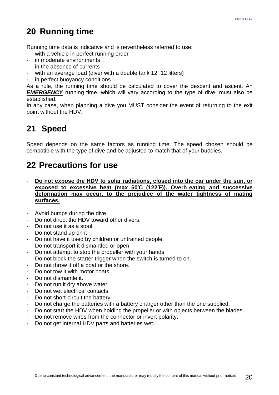# **20 Running time**

Running time data is indicative and is nevertheless referred to use:

- with a vehicle in perfect running order
- in moderate environments
- in the absence of currents
- with an average load (diver with a double tank 12+12 litters)
- in perfect buoyancy conditions

As a rule, the running time should be calculated to cover the descent and ascent. An **EMERGENCY** running time, which will vary according to the type of dive, must also be established.

In any case, when planning a dive you MUST consider the event of returning to the exit point without the HDV.

# **21 Speed**

Speed depends on the same factors as running time. The speed chosen should be compatible with the type of dive and be adjusted to match that of your buddies.

### **22 Precautions for use**

- **Do not expose the HDV to solar radiations, closed into the car under the sun, or exposed to excessive heat (max 50°C (122°F)). Overh eating and successive deformation may occur, to the prejudice of the water tightness of mating surfaces.**
- Avoid bumps during the dive
- Do not direct the HDV toward other divers.
- Do not use it as a stool
- Do not stand up on it
- Do not have it used by children or untrained people.
- Do not transport it dismantled or open.
- Do not attempt to stop the propeller with your hands.
- Do not block the starter trigger when the switch is turned to on.
- Do not throw it off a boat or the shore.
- Do not tow it with motor boats.
- Do not dismantle it.
- Do not run it dry above water.
- Do not wet electrical contacts.
- Do not short-circuit the battery
- Do not charge the batteries with a battery charger other than the one supplied.
- Do not start the HDV when holding the propeller or with objects between the blades.
- Do not remove wires from the connector or invert polarity.
- Do not get internal HDV parts and batteries wet.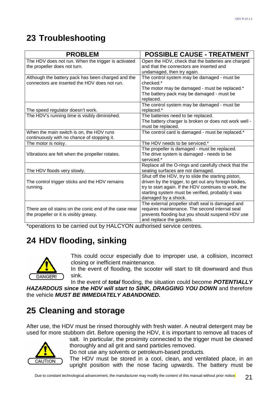# **23 Troubleshooting**

| <b>PROBLEM</b>                                         | <b>POSSIBLE CAUSE - TREATMENT</b>                     |  |  |
|--------------------------------------------------------|-------------------------------------------------------|--|--|
| The HDV does not run. When the trigger is activated    | Open the HDV, check that the batteries are charged    |  |  |
| the propeller does not turn.                           | and that the connectors are inserted and              |  |  |
|                                                        | undamaged, then try again.                            |  |  |
| Although the battery pack has been charged and the     | The control system may be damaged - must be           |  |  |
| connectors are inserted the HDV does not run.          | checked.*                                             |  |  |
|                                                        | The motor may be damaged - must be replaced.*         |  |  |
|                                                        | The battery pack may be damaged - must be             |  |  |
|                                                        | replaced.                                             |  |  |
|                                                        | The control system may be damaged - must be           |  |  |
| The speed regulator doesn't work.                      | replaced.*                                            |  |  |
| The HDV's running time is visibly diminished.          | The batteries need to be replaced.                    |  |  |
|                                                        | The battery charger is broken or does not work well - |  |  |
|                                                        | must be replaced.                                     |  |  |
| When the main switch is on, the HDV runs               | The control card is damaged - must be replaced.*      |  |  |
| continuously with no chance of stopping it.            |                                                       |  |  |
| The motor is noisy.                                    | The HDV needs to be serviced.*                        |  |  |
|                                                        | The propeller is damaged - must be replaced.          |  |  |
| Vibrations are felt when the propeller rotates.        | The drive system is damaged - needs to be             |  |  |
|                                                        | serviced.*                                            |  |  |
|                                                        | Replace all the O-rings and carefully check that the  |  |  |
| The HDV floods very slowly.                            | seating surfaces are not damaged.                     |  |  |
|                                                        | Shut off the HDV, try to slide the starting piston,   |  |  |
| The control trigger sticks and the HDV remains         | driven by the trigger, to get out any foreign bodies, |  |  |
| running.                                               | try to start again. If the HDV continues to work, the |  |  |
|                                                        | starting system must be verified, probably it was     |  |  |
|                                                        | damaged by a shock.                                   |  |  |
|                                                        | The external propeller shaft seal is damaged and      |  |  |
| There are oil stains on the conic end of the case near | requires maintenance. The second internal seal        |  |  |
| the propeller or it is visibly greasy.                 | prevents flooding but you should suspend HDV use      |  |  |
|                                                        | and replace the gaskets.                              |  |  |

\*operations to be carried out by HALCYON authorised service centres.

# **24 HDV flooding, sinking**



This could occur especially due to improper use, a collision, incorrect closing or inefficient maintenance.

In the event of flooding, the scooter will start to tilt downward and thus sink.

In the event of **total** flooding, the situation could become **POTENTIALLY HAZARDOUS since the HDV will start to SINK, DRAGGING YOU DOWN** and therefore the vehicle **MUST BE IMMEDIATELY ABANDONED.** 

# **25 Cleaning and storage**

After use, the HDV must be rinsed thoroughly with fresh water. A neutral detergent may be used for more stubborn dirt. Before opening the HDV, it is important to remove all traces of



salt. In particular, the proximity connected to the trigger must be cleaned thoroughly and all grit and sand particles removed.

Do not use any solvents or petroleum-based products.

The HDV must be stored in a cool, clean, and ventilated place, in an upright position with the nose facing upwards. The battery must be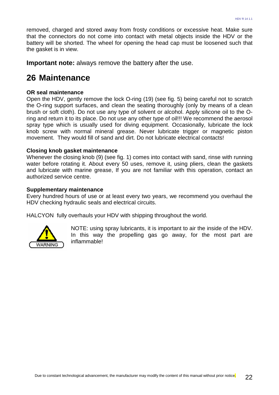removed, charged and stored away from frosty conditions or excessive heat. Make sure that the connectors do not come into contact with metal objects inside the HDV or the battery will be shorted. The wheel for opening the head cap must be loosened such that the gasket is in view.

**Important note:** always remove the battery after the use.

### **26 Maintenance**

#### **OR seal maintenance**

Open the HDV, gently remove the lock O-ring (19) (see fig. 5) being careful not to scratch the O-ring support surfaces, and clean the seating thoroughly (only by means of a clean brush or soft cloth). Do not use any type of solvent or alcohol. Apply silicone oil to the Oring and return it to its place. Do not use any other type of oil!!! We recommend the aerosol spray type which is usually used for diving equipment. Occasionally, lubricate the lock knob screw with normal mineral grease. Never lubricate trigger or magnetic piston movement. They would fill of sand and dirt. Do not lubricate electrical contacts!

#### **Closing knob gasket maintenance**

Whenever the closing knob (9) (see fig. 1) comes into contact with sand, rinse with running water before rotating it. About every 50 uses, remove it, using pliers, clean the gaskets and lubricate with marine grease, If you are not familiar with this operation, contact an authorized service centre.

#### **Supplementary maintenance**

Every hundred hours of use or at least every two years, we recommend you overhaul the HDV checking hydraulic seals and electrical circuits.

HALCYON fully overhauls your HDV with shipping throughout the world.



NOTE: using spray lubricants, it is important to air the inside of the HDV. In this way the propelling gas go away, for the most part are inflammable!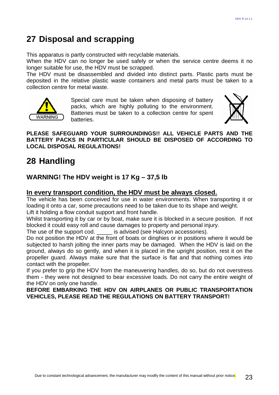# **27 Disposal and scrapping**

This apparatus is partly constructed with recyclable materials.

When the HDV can no longer be used safely or when the service centre deems it no longer suitable for use, the HDV must be scrapped.

The HDV must be disassembled and divided into distinct parts. Plastic parts must be deposited in the relative plastic waste containers and metal parts must be taken to a collection centre for metal waste.



Special care must be taken when disposing of battery packs, which are highly polluting to the environment. Batteries must be taken to a collection centre for spent batteries.



### **PLEASE SAFEGUARD YOUR SURROUNDINGS!! ALL VEHICLE PARTS AND THE BATTERY PACKS IN PARTICULAR SHOULD BE DISPOSED OF ACCORDING TO LOCAL DISPOSAL REGULATIONS!**

# **28 Handling**

### **WARNING! The HDV weight is 17 Kg – 37,5 lb**

### **In every transport condition, the HDV must be always closed.**

The vehicle has been conceived for use in water environments. When transporting it or loading it onto a car, some precautions need to be taken due to its shape and weight. Lift it holding a flow conduit support and front handle.

Whilst transporting it by car or by boat, make sure it is blocked in a secure position. If not blocked it could easy roll and cause damages to property and personal injury.

The use of the support cod. \_\_\_\_\_ is advised (see Halcyon accessories).

Do not position the HDV at the front of boats or dinghies or in positions where it would be subjected to harsh jolting the inner parts may be damaged. When the HDV is laid on the ground, always do so gently, and when it is placed in the upright position, rest it on the propeller guard. Always make sure that the surface is flat and that nothing comes into contact with the propeller.

If you prefer to grip the HDV from the maneuvering handles, do so, but do not overstress them - they were not designed to bear excessive loads. Do not carry the entire weight of the HDV on only one handle.

**BEFORE EMBARKING THE HDV ON AIRPLANES OR PUBLIC TRANSPORTATION VEHICLES, PLEASE READ THE REGULATIONS ON BATTERY TRANSPORT!**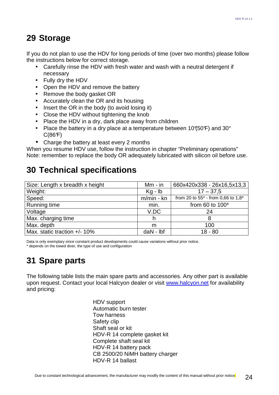### **29 Storage**

If you do not plan to use the HDV for long periods of time (over two months) please follow the instructions below for correct storage.

- Carefully rinse the HDV with fresh water and wash with a neutral detergent if necessary
- Fully dry the HDV
- Open the HDV and remove the battery
- Remove the body gasket OR
- Accurately clean the OR and its housing
- Insert the OR in the body (to avoid losing it)
- Close the HDV without tightening the knob
- Place the HDV in a dry, dark place away from children
- Place the battery in a dry place at a temperature between 10 $(50F)$  and 30 $^{\circ}$  $C(86F)$
- Charge the battery at least every 2 months

When you resume HDV use, follow the instruction in chapter "Preliminary operations" Note: remember to replace the body OR adequately lubricated with silicon oil before use.

# **30 Technical specifications**

| Size: Length x breadth x height | $Mm - in$    | 660x420x338 - 26x16,5x13,3                                 |
|---------------------------------|--------------|------------------------------------------------------------|
| Weight:                         | $Kg - Ib$    | $17 - 37,5$                                                |
| Speed:                          | $m/min - kn$ | from 20 to 55 <sup>*</sup> - from 0,66 to 1,8 <sup>*</sup> |
| Running time                    | min.         | from 60 to $100*$                                          |
| Voltage                         | V.DC         | 24                                                         |
| Max. charging time              | h            | 8                                                          |
| Max. depth                      | m            | 100                                                        |
| Max. static traction +/- 10%    | $dAN - Ibf$  | $18 - 80$                                                  |

Data is only exemplary since constant product developments could cause variations without prior notice. \* depends on the towed diver, the type of use and configuration

# **31 Spare parts**

The following table lists the main spare parts and accessories. Any other part is available upon request. Contact your local Halcyon dealer or visit www.halcyon.net for availability and pricing:

> HDV support Automatic burn tester Tow harness Safety clip Shaft seal or kit HDV-R 14 complete gasket kit Complete shaft seal kit HDV-R 14 battery pack CB 2500/20 NiMH battery charger HDV-R 14 ballast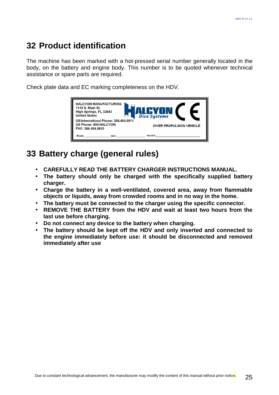### **32 Product identification**

The machine has been marked with a hot-pressed serial number generally located in the body, on the battery and engine body. This number is to be quoted whenever technical assistance or spare parts are required.

Check plate data and EC marking completeness on the HDV.



### **33 Battery charge (general rules)**

- **CAREFULLY READ THE BATTERY CHARGER INSTRUCTIONS MANUAL.**
- **The battery should only be charged with the specifically supplied battery charger.**
- **Charge the battery in a well-ventilated, covered area, away from flammable objects or liquids, away from crowded rooms and in no way in the home.**
- **The battery must be connected to the charger using the specific connector.**
- **REMOVE THE BATTERY from the HDV and wait at least two hours from the last use before charging.**
- **Do not connect any device to the battery when charging.**
- **The battery should be kept off the HDV and only inserted and connected to the engine immediately before use: it should be disconnected and removed immediately after use**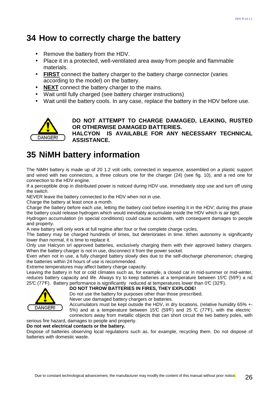## **34 How to correctly charge the battery**

- Remove the battery from the HDV.
- Place it in a protected, well-ventilated area away from people and flammable materials.
- **FIRST** connect the battery charger to the battery charge connector (varies according to the model) on the battery.
- **NEXT** connect the battery charger to the mains.
- Wait until fully charged (see battery charger instructions)
- Wait until the battery cools. In any case, replace the battery in the HDV before use.



**DO NOT ATTEMPT TO CHARGE DAMAGED, LEAKING, RUSTED OR OTHERWISE DAMAGED BATTERIES. HALCYON IS AVAILABLE FOR ANY NECESSARY TECHNICAL ASSISTANCE.** 

# **35 NiMH battery information**

The NiMH battery is made up of 20 1.2 volt cells, connected in sequence, assembled on a plastic support and wired with two connectors, a three colours one for the charger (24) (see fig. 10), and a red one for connection to the HDV engine.

If a perceptible drop in distributed power is noticed during HDV use, immediately stop use and turn off using the switch.

NEVER leave the battery connected to the HDV when not in use.

Charge the battery at least once a month.

Charge the battery before each use, letting the battery cool before inserting it in the HDV; during this phase the battery could release hydrogen which would inevitably accumulate inside the HDV which is air tight.

Hydrogen accumulation (in special conditions) could cause accidents, with consequent damages to people and property.

A new battery will only work at full regime after four or five complete charge cycles.

The battery may be charged hundreds of times, but deteriorates in time. When autonomy is significantly lower than normal, it is time to replace it.

Only use Halcyon srl approved batteries, exclusively charging them with their approved battery chargers. When the battery charger is not in use, disconnect it from the power socket.

Even when not in use, a fully charged battery slowly dies due to the self-discharge phenomenon; charging the batteries within 24 hours of use is recommended.

Extreme temperatures may affect battery charge capacity.

Leaving the battery in hot or cold climates such as, for example, a closed car in mid-summer or mid-winter, reduces battery capacity and life. Always try to keep batteries at a temperature between 15 $\mathbb{C}$  (59 $\mathbb{F}$ ) a nd 25°C (77°F). Battery performance is significantly reduced at temperatures lower than  $0^\circ$  (32°F).



#### **DO NOT THROW BATTERIES IN FIRES, THEY EXPLODE!**

Do not use the battery for purposes other than those prescribed.

Never use damaged battery chargers or batteries.

Accumulators must be kept outside the HDV, in dry locations, (relative humidity 65% +- 5%) and at a temperature between 15°C (59°F) and 25 °C (77°F), with the electric connectors away from metallic objects that can short circuit the two battery poles, with

### serious fire hazard, damages to people and property.

**Do not wet electrical contacts or the battery.**

Dispose of batteries observing local regulations such as, for example, recycling them. Do not dispose of batteries with domestic waste.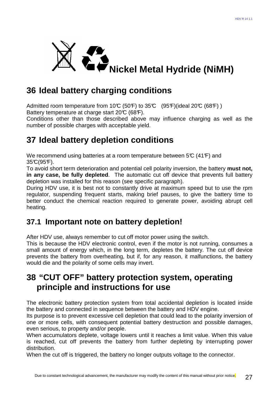

# **36 Ideal battery charging conditions**

Admitted room temperature from 10°C (50°F) to 35°C (95°F)(ideal 20°C (68°F)) Battery temperature at charge start  $20\textdegree$  (68°F).

Conditions other than those described above may influence charging as well as the number of possible charges with acceptable yield.

# **37 Ideal battery depletion conditions**

We recommend using batteries at a room temperature between  $5\mathcal{C}$  (41 $\mathcal{F}$ ) and  $35^{\circ}C(95^{\circ}F)$ .

To avoid short term deterioration and potential cell polarity inversion, the battery **must not, in any case, be fully depleted**. The automatic cut off device that prevents full battery depletion was installed for this reason (see specific paragraph).

During HDV use, it is best not to constantly drive at maximum speed but to use the rpm regulator, suspending frequent starts, making brief pauses, to give the battery time to better conduct the chemical reaction required to generate power, avoiding abrupt cell heating.

### **37.1 Important note on battery depletion!**

After HDV use, always remember to cut off motor power using the switch.

This is because the HDV electronic control, even if the motor is not running, consumes a small amount of energy which, in the long term, depletes the battery. The cut off device prevents the battery from overheating, but if, for any reason, it malfunctions, the battery would die and the polarity of some cells may invert.

### **38 "CUT OFF" battery protection system, operating principle and instructions for use**

The electronic battery protection system from total accidental depletion is located inside the battery and connected in sequence between the battery and HDV engine.

Its purpose is to prevent excessive cell depletion that could lead to the polarity inversion of one or more cells, with consequent potential battery destruction and possible damages, even serious, to property and/or people.

When accumulators deplete, voltage lowers until it reaches a limit value. When this value is reached, cut off prevents the battery from further depleting by interrupting power distribution.

When the cut off is triggered, the battery no longer outputs voltage to the connector.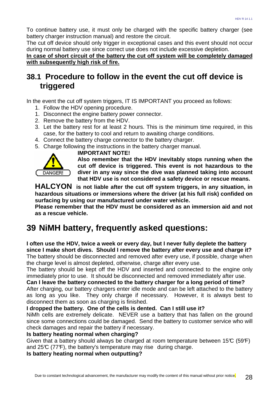To continue battery use, it must only be charged with the specific battery charger (see battery charger instruction manual) and restore the circuit.

The cut off device should only trigger in exceptional cases and this event should not occur during normal battery use since correct use does not include excessive depletion.

**In case of short circuit of the battery the cut off system will be completely damaged with subsequently high risk of fire.**

### **38.1 Procedure to follow in the event the cut off device is triggered**

In the event the cut off system triggers, IT IS IMPORTANT you proceed as follows:

- 1. Follow the HDV opening procedure.
- 1. Disconnect the engine battery power connector.
- 2. Remove the battery from the HDV.
- 3. Let the battery rest for at least 2 hours. This is the minimum time required, in this case, for the battery to cool and return to awaiting charge conditions.
- 4. Connect the battery charge connector to the battery charger.
- 5. Charge following the instructions in the battery charger manual.



#### **IMPORTANT NOTE!**

**Also remember that the HDV inevitably stops running when the cut off device is triggered. This event is not hazardous to the diver in any way since the dive was planned taking into account that HDV use is not considered a safety device or rescue means.** 

**HALCYON is not liable after the cut off system triggers, in any situation, in hazardous situations or immersions where the driver (at his full risk) confided on surfacing by using our manufactured under water vehicle.** 

**Please remember that the HDV must be considered as an immersion aid and not as a rescue vehicle.** 

## **39 NiMH battery, frequently asked questions:**

**I often use the HDV, twice a week or every day, but I never fully deplete the battery since I make short dives. Should I remove the battery after every use and charge it?**  The battery should be disconnected and removed after every use, if possible, charge when the charge level is almost depleted, otherwise, charge after every use.

The battery should be kept off the HDV and inserted and connected to the engine only immediately prior to use. It should be disconnected and removed immediately after use.

**Can I leave the battery connected to the battery charger for a long period of time?**  After charging, our battery chargers enter idle mode and can be left attached to the battery as long as you like. They only charge if necessary. However, it is always best to

disconnect them as soon as charging is finished.

#### **I dropped the battery. One of the cells is dented. Can I still use it?**

NiMh cells are extremely delicate. NEVER use a battery that has fallen on the ground since some connections could be damaged. Send the battery to customer service who will check damages and repair the battery if necessary.

#### **Is battery heating normal when charging?**

Given that a battery should always be charged at room temperature between  $15\textdegree C$  (59°F) and  $25\mathbb{C}$  (77 $\mathbb{F}$ ), the battery's temperature may rise during charge.

**Is battery heating normal when outputting?**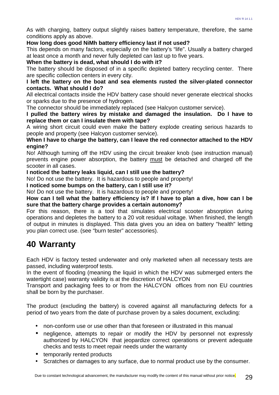As with charging, battery output slightly raises battery temperature, therefore, the same conditions apply as above.

#### **How long does good NiMh battery efficiency last if not used?**

This depends on many factors, especially on the battery's "life". Usually a battery charged at least once a month and never fully depleted can last up to five years.

#### **When the battery is dead, what should I do with it?**

The battery should be disposed of in a specific depleted battery recycling center. There are specific collection centers in every city.

#### **I left the battery on the boat and sea elements rusted the silver-plated connector contacts. What should I do?**

All electrical contacts inside the HDV battery case should never generate electrical shocks or sparks due to the presence of hydrogen.

The connector should be immediately replaced (see Halcyon customer service).

**I pulled the battery wires by mistake and damaged the insulation. Do I have to replace them or can I insulate them with tape?** 

A wiring short circuit could even make the battery explode creating serious hazards to people and property (see Halcyon customer service).

#### **When I have to charge the battery, can I leave the red connector attached to the HDV engine?**

No! Although turning off the HDV using the circuit breaker knob (see instruction manual) prevents engine power absorption, the battery must be detached and charged off the scooter in all cases.

**I noticed the battery leaks liquid, can I still use the battery?** 

No! Do not use the battery. It is hazardous to people and property!

**I noticed some bumps on the battery, can I still use it?** 

No! Do not use the battery. It is hazardous to people and property!

**How can I tell what the battery efficiency is? If I have to plan a dive, how can I be sure that the battery charge provides a certain autonomy?** 

For this reason, there is a tool that simulates electrical scooter absorption during operations and depletes the battery to a 20 volt residual voltage. When finished, the length of output in minutes is displayed. This data gives you an idea on battery "health" letting you plan correct use. (see "burn tester" accessories).

### **40 Warranty**

Each HDV is factory tested underwater and only marketed when all necessary tests are passed, including waterproof tests.

In the event of flooding (meaning the liquid in which the HDV was submerged enters the watertight case) warranty validity is at the discretion of HALCYON

Transport and packaging fees to or from the HALCYON offices from non EU countries shall be born by the purchaser.

The product (excluding the battery) is covered against all manufacturing defects for a period of two years from the date of purchase proven by a sales document, excluding:

- non-conform use or use other than that foreseen or illustrated in this manual
- negligence, attempts to repair or modify the HDV by personnel not expressly authorized by HALCYON that jeopardize correct operations or prevent adequate checks and tests to meet repair needs under the warranty
- temporarily rented products
- Scratches or damages to any surface, due to normal product use by the consumer.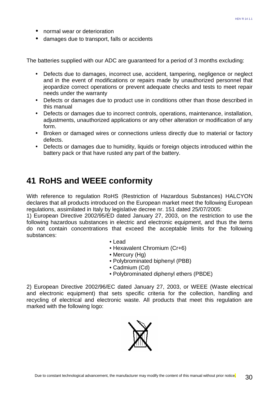- normal wear or deterioration
- damages due to transport, falls or accidents

The batteries supplied with our ADC are guaranteed for a period of 3 months excluding:

- Defects due to damages, incorrect use, accident, tampering, negligence or neglect and in the event of modifications or repairs made by unauthorized personnel that jeopardize correct operations or prevent adequate checks and tests to meet repair needs under the warranty
- Defects or damages due to product use in conditions other than those described in this manual
- Defects or damages due to incorrect controls, operations, maintenance, installation, adjustments, unauthorized applications or any other alteration or modification of any form.
- Broken or damaged wires or connections unless directly due to material or factory defects.
- Defects or damages due to humidity, liquids or foreign objects introduced within the battery pack or that have rusted any part of the battery.

### **41 RoHS and WEEE conformity**

With reference to regulation RoHS (Restriction of Hazardous Substances) HALCYON declares that all products introduced on the European market meet the following European regulations, assimilated in Italy by legislative decree nr. 151 dated 25/07/2005:

1) European Directive 2002/95/ED dated January 27, 2003, on the restriction to use the following hazardous substances in electric and electronic equipment, and thus the items do not contain concentrations that exceed the acceptable limits for the following substances:

- Lead
- Hexavalent Chromium (Cr+6)
- Mercury (Hg)
- Polybrominated biphenyl (PBB)
- Cadmium (Cd)
- Polybrominated diphenyl ethers (PBDE)

2) European Directive 2002/96/EC dated January 27, 2003, or WEEE (Waste electrical and electronic equipment) that sets specific criteria for the collection, handling and recycling of electrical and electronic waste. All products that meet this regulation are marked with the following logo:

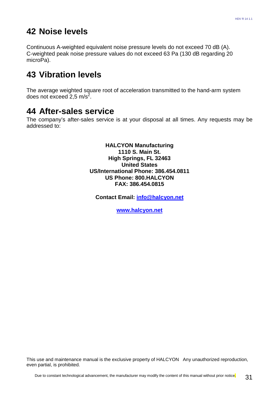### **42 Noise levels**

Continuous A-weighted equivalent noise pressure levels do not exceed 70 dB (A). C-weighted peak noise pressure values do not exceed 63 Pa (130 dB regarding 20 microPa).

# **43 Vibration levels**

The average weighted square root of acceleration transmitted to the hand-arm system does not exceed  $2,5$  m/s<sup>2</sup>.

### **44 After-sales service**

The company's after-sales service is at your disposal at all times. Any requests may be addressed to:

> **HALCYON Manufacturing 1110 S. Main St. High Springs, FL 32463 United States US/International Phone: 386.454.0811 US Phone: 800.HALCYON FAX: 386.454.0815**

**Contact Email: info@halcyon.net**

**www.halcyon.net**

This use and maintenance manual is the exclusive property of HALCYON Any unauthorized reproduction, even partial, is prohibited.